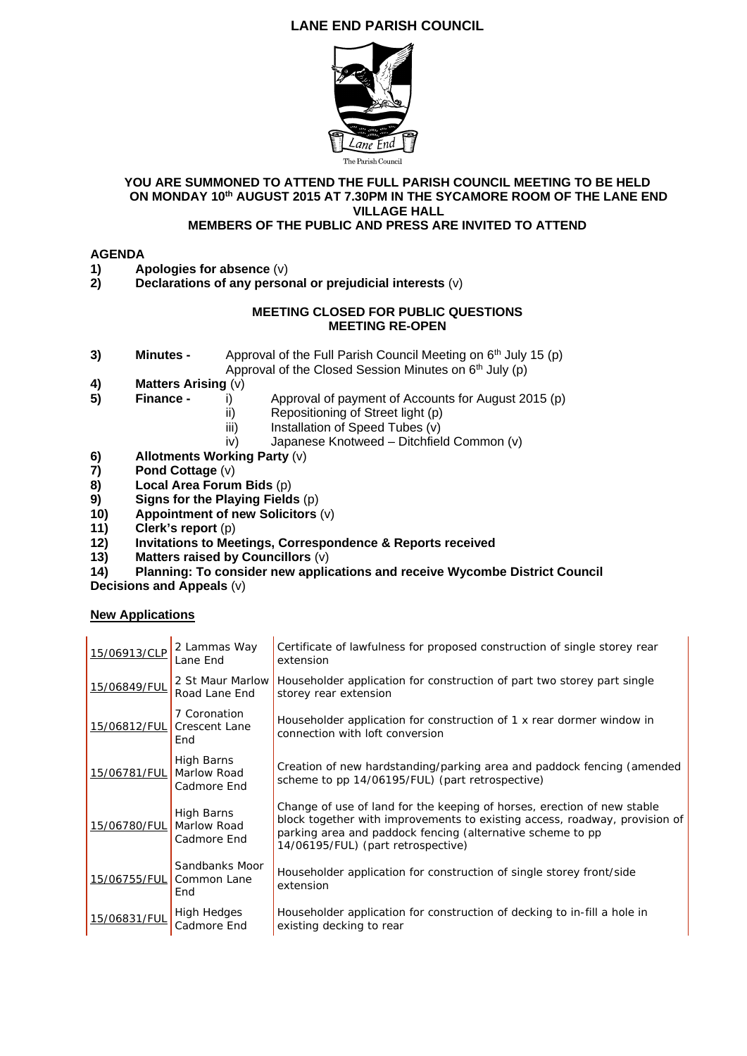# **LANE END PARISH COUNCIL**



### **YOU ARE SUMMONED TO ATTEND THE FULL PARISH COUNCIL MEETING TO BE HELD ON MONDAY 10th AUGUST 2015 AT 7.30PM IN THE SYCAMORE ROOM OF THE LANE END VILLAGE HALL**

## **MEMBERS OF THE PUBLIC AND PRESS ARE INVITED TO ATTEND**

## **AGENDA**

- **1)** Apologies for absence (v)<br>**2)** Declarations of any perso
- **2) Declarations of any personal or prejudicial interests** (v)

### **MEETING CLOSED FOR PUBLIC QUESTIONS MEETING RE-OPEN**

- **3) Minutes -** Approval of the Full Parish Council Meeting on 6<sup>th</sup> July 15 (p) Approval of the Closed Session Minutes on  $6<sup>th</sup>$  July (p)
- **4) Matters Arising** (v)
- **5) Finance -** i) Approval of payment of Accounts for August 2015 (p)
	- ii) Repositioning of Street light (p)
	- iii) Installation of Speed Tubes (v)
	- iv) Japanese Knotweed Ditchfield Common (v)
- **6)** Allotments Working Party (v)<br>**7)** Pond Cottage (v)
- **7) Pond Cottage** (v)
- **8) Local Area Forum Bids** (p)
- **9) Signs for the Playing Fields** (p)
- **10) Appointment of new Solicitors** (v)
- **11)** Clerk's report (p)<br>**12)** Invitations to Mee
- **12) Invitations to Meetings, Correspondence & Reports received**
- **13) Matters raised by Councillors** (v)
- **14) Planning: To consider new applications and receive Wycombe District Council**

**Decisions and Appeals** (v)

## **New Applications**

| 15/06913/CLP | 2 Lammas Way<br>Lane End                    | Certificate of lawfulness for proposed construction of single storey rear<br>extension                                                                                                                                                                    |
|--------------|---------------------------------------------|-----------------------------------------------------------------------------------------------------------------------------------------------------------------------------------------------------------------------------------------------------------|
| 15/06849/FUL | 2 St Maur Marlow<br>Road Lane End           | Householder application for construction of part two storey part single<br>storey rear extension                                                                                                                                                          |
| 15/06812/FUL | 7 Coronation<br><b>Crescent Lane</b><br>End | Householder application for construction of 1 x rear dormer window in<br>connection with loft conversion                                                                                                                                                  |
| 15/06781/FUL | High Barns<br>Marlow Road<br>Cadmore End    | Creation of new hardstanding/parking area and paddock fencing (amended<br>scheme to pp 14/06195/FUL) (part retrospective)                                                                                                                                 |
| 15/06780/FUL | High Barns<br>Marlow Road<br>Cadmore End    | Change of use of land for the keeping of horses, erection of new stable<br>block together with improvements to existing access, roadway, provision of<br>parking area and paddock fencing (alternative scheme to pp<br>14/06195/FUL) (part retrospective) |
| 15/06755/FUL | Sandbanks Moor<br>Common Lane<br>End        | Householder application for construction of single storey front/side<br>extension                                                                                                                                                                         |
| 15/06831/FUL | <b>High Hedges</b><br>Cadmore End           | Householder application for construction of decking to in-fill a hole in<br>existing decking to rear                                                                                                                                                      |